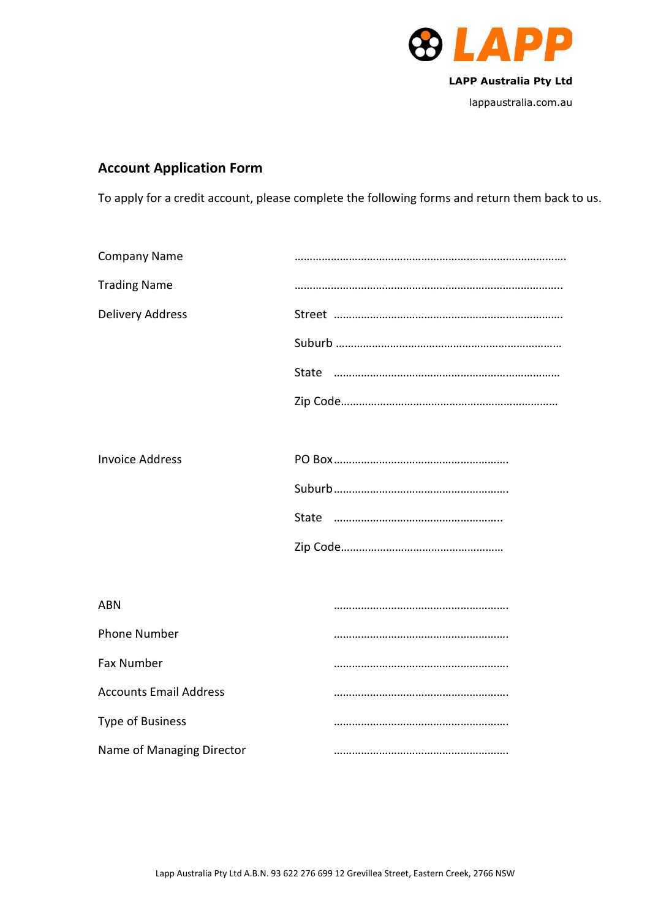

# **Account Application Form**

To apply for a credit account, please complete the following forms and return them back to us.

| <b>Company Name</b>           |  |
|-------------------------------|--|
| <b>Trading Name</b>           |  |
| <b>Delivery Address</b>       |  |
|                               |  |
|                               |  |
|                               |  |
|                               |  |
| <b>Invoice Address</b>        |  |
|                               |  |
|                               |  |
|                               |  |
|                               |  |
| <b>ABN</b>                    |  |
| <b>Phone Number</b>           |  |
| <b>Fax Number</b>             |  |
| <b>Accounts Email Address</b> |  |
| <b>Type of Business</b>       |  |
| Name of Managing Director     |  |
|                               |  |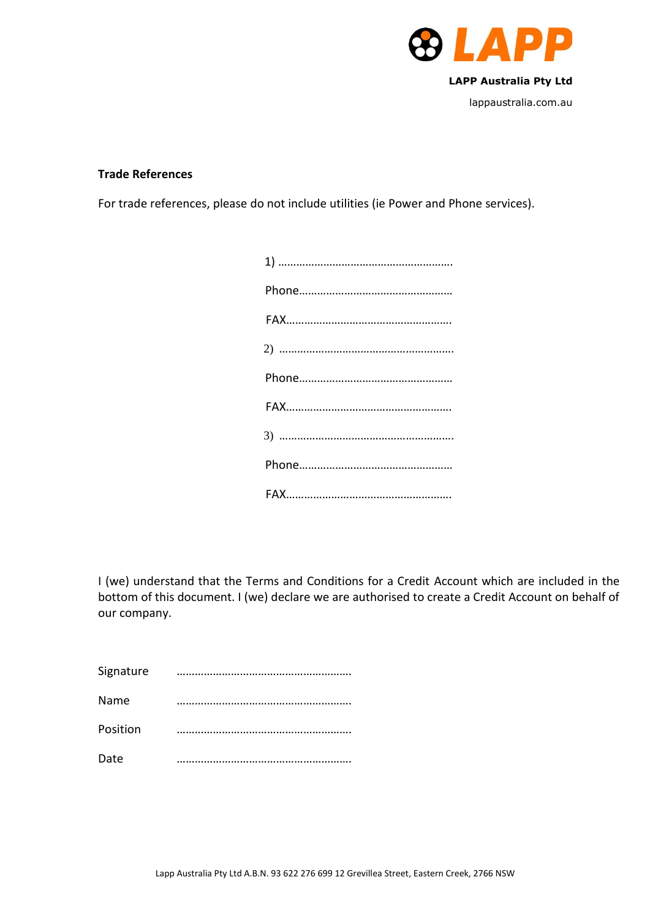

## **Trade References**

For trade references, please do not include utilities (ie Power and Phone services).

I (we) understand that the Terms and Conditions for a Credit Account which are included in the bottom of this document. I (we) declare we are authorised to create a Credit Account on behalf of our company.

| Signature |  |
|-----------|--|
| Name      |  |
| Position  |  |
| Date      |  |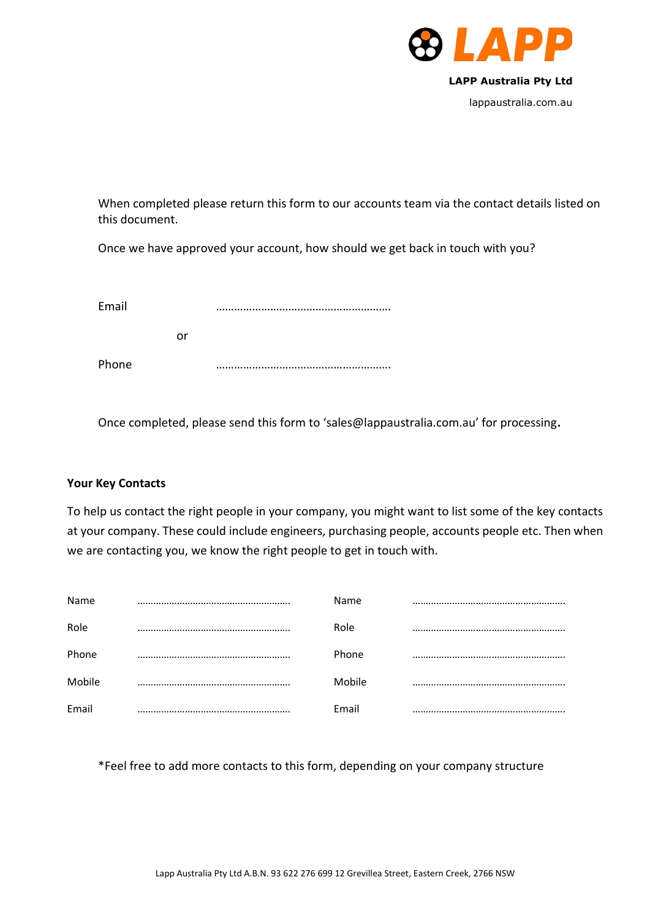

When completed please return this form to our accounts team via the contact details listed on this document.

Once we have approved your account, how should we get back in touch with you?

| Email |    |  |
|-------|----|--|
|       | Ωr |  |
| Phone |    |  |

Once completed, please send this form to 'sales@lappaustralia.com.au' for processing**.**

# **Your Key Contacts**

To help us contact the right people in your company, you might want to list some of the key contacts at your company. These could include engineers, purchasing people, accounts people etc. Then when we are contacting you, we know the right people to get in touch with.

| Name   | Name      |  |
|--------|-----------|--|
| Role   | Role      |  |
| Phone  | <br>Phone |  |
| Mobile | Mobile    |  |
| Email  | Email     |  |

\*Feel free to add more contacts to this form, depending on your company structure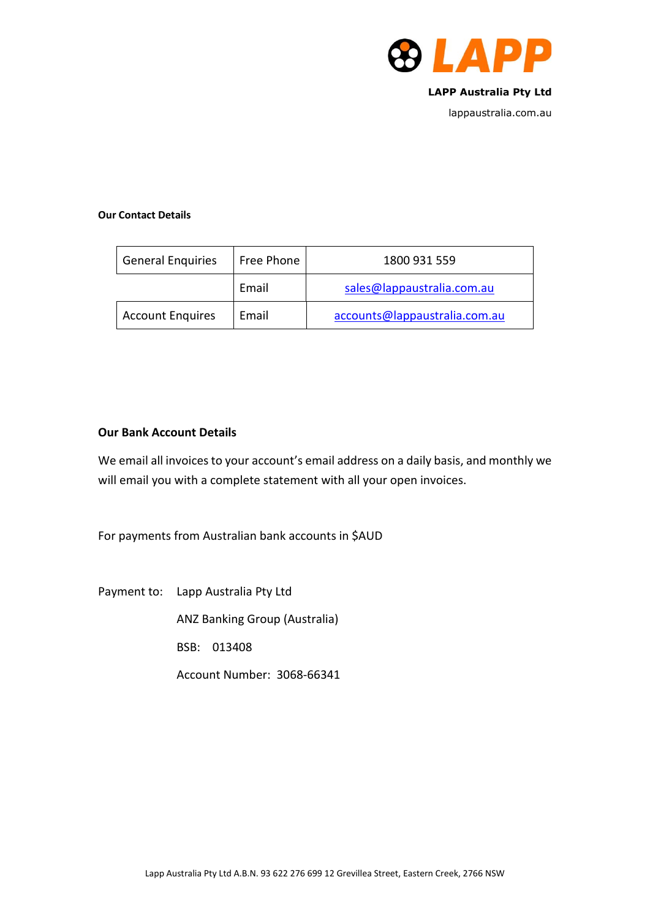

lappaustralia.com.au

## **Our Contact Details**

| <b>General Enquiries</b> | Free Phone | 1800 931 559                  |
|--------------------------|------------|-------------------------------|
|                          | Email      | sales@lappaustralia.com.au    |
| <b>Account Enquires</b>  | Email      | accounts@lappaustralia.com.au |

## **Our Bank Account Details**

We email all invoices to your account's email address on a daily basis, and monthly we will email you with a complete statement with all your open invoices.

For payments from Australian bank accounts in \$AUD

Payment to: Lapp Australia Pty Ltd

ANZ Banking Group (Australia)

BSB: 013408

Account Number: 3068-66341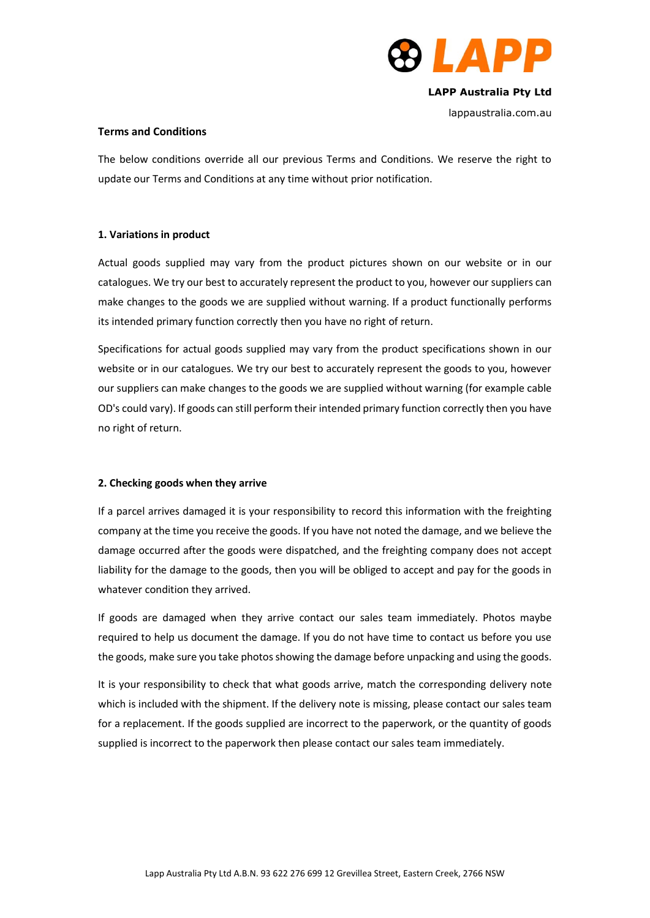

lappaustralia.com.au

### **Terms and Conditions**

The below conditions override all our previous Terms and Conditions. We reserve the right to update our Terms and Conditions at any time without prior notification.

## **1. Variations in product**

Actual goods supplied may vary from the product pictures shown on our website or in our catalogues. We try our best to accurately represent the product to you, however our suppliers can make changes to the goods we are supplied without warning. If a product functionally performs its intended primary function correctly then you have no right of return.

Specifications for actual goods supplied may vary from the product specifications shown in our website or in our catalogues. We try our best to accurately represent the goods to you, however our suppliers can make changes to the goods we are supplied without warning (for example cable OD's could vary). If goods can still perform their intended primary function correctly then you have no right of return.

## **2. Checking goods when they arrive**

If a parcel arrives damaged it is your responsibility to record this information with the freighting company at the time you receive the goods. If you have not noted the damage, and we believe the damage occurred after the goods were dispatched, and the freighting company does not accept liability for the damage to the goods, then you will be obliged to accept and pay for the goods in whatever condition they arrived.

If goods are damaged when they arrive contact our sales team immediately. Photos maybe required to help us document the damage. If you do not have time to contact us before you use the goods, make sure you take photos showing the damage before unpacking and using the goods.

It is your responsibility to check that what goods arrive, match the corresponding delivery note which is included with the shipment. If the delivery note is missing, please contact our sales team for a replacement. If the goods supplied are incorrect to the paperwork, or the quantity of goods supplied is incorrect to the paperwork then please contact our sales team immediately.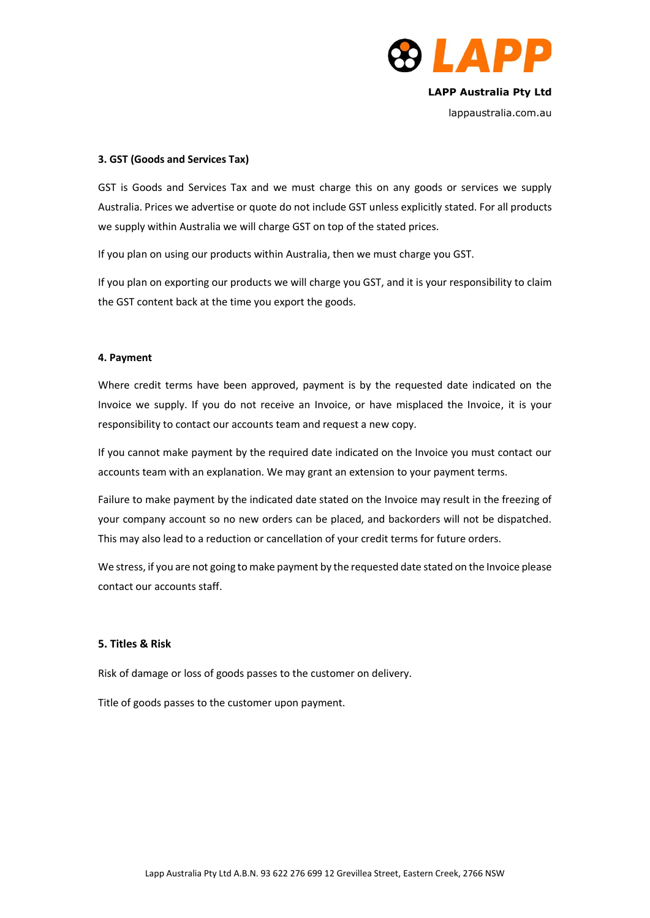

lappaustralia.com.au

#### **3. GST (Goods and Services Tax)**

GST is Goods and Services Tax and we must charge this on any goods or services we supply Australia. Prices we advertise or quote do not include GST unless explicitly stated. For all products we supply within Australia we will charge GST on top of the stated prices.

If you plan on using our products within Australia, then we must charge you GST.

If you plan on exporting our products we will charge you GST, and it is your responsibility to claim the GST content back at the time you export the goods.

#### **4. Payment**

Where credit terms have been approved, payment is by the requested date indicated on the Invoice we supply. If you do not receive an Invoice, or have misplaced the Invoice, it is your responsibility to contact our accounts team and request a new copy.

If you cannot make payment by the required date indicated on the Invoice you must contact our accounts team with an explanation. We may grant an extension to your payment terms.

Failure to make payment by the indicated date stated on the Invoice may result in the freezing of your company account so no new orders can be placed, and backorders will not be dispatched. This may also lead to a reduction or cancellation of your credit terms for future orders.

We stress, if you are not going to make payment by the requested date stated on the Invoice please contact our accounts staff.

### **5. Titles & Risk**

Risk of damage or loss of goods passes to the customer on delivery.

Title of goods passes to the customer upon payment.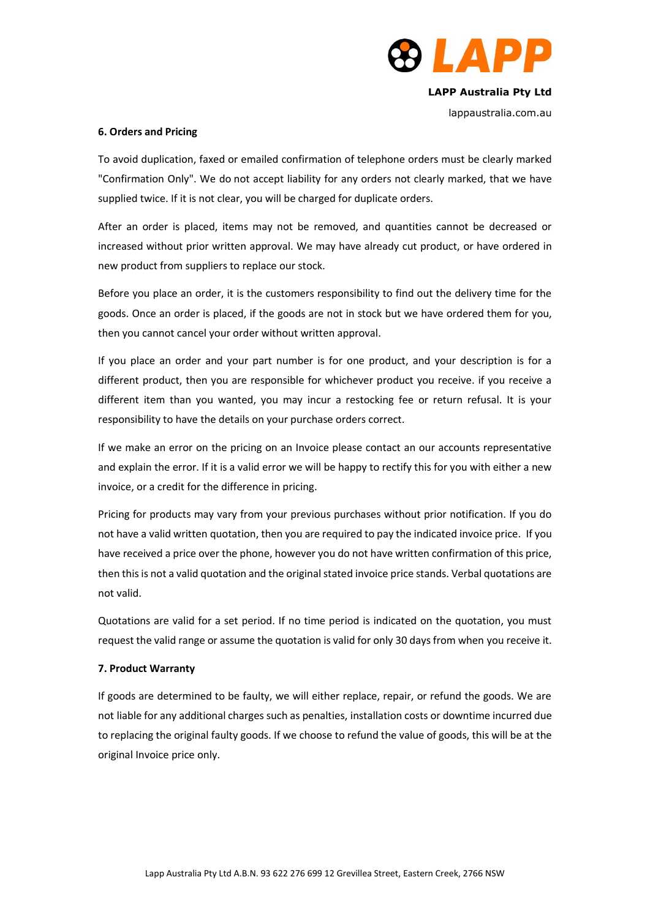

lappaustralia.com.au

#### **6. Orders and Pricing**

To avoid duplication, faxed or emailed confirmation of telephone orders must be clearly marked "Confirmation Only". We do not accept liability for any orders not clearly marked, that we have supplied twice. If it is not clear, you will be charged for duplicate orders.

After an order is placed, items may not be removed, and quantities cannot be decreased or increased without prior written approval. We may have already cut product, or have ordered in new product from suppliers to replace our stock.

Before you place an order, it is the customers responsibility to find out the delivery time for the goods. Once an order is placed, if the goods are not in stock but we have ordered them for you, then you cannot cancel your order without written approval.

If you place an order and your part number is for one product, and your description is for a different product, then you are responsible for whichever product you receive. if you receive a different item than you wanted, you may incur a restocking fee or return refusal. It is your responsibility to have the details on your purchase orders correct.

If we make an error on the pricing on an Invoice please contact an our accounts representative and explain the error. If it is a valid error we will be happy to rectify this for you with either a new invoice, or a credit for the difference in pricing.

Pricing for products may vary from your previous purchases without prior notification. If you do not have a valid written quotation, then you are required to pay the indicated invoice price. If you have received a price over the phone, however you do not have written confirmation of this price, then this is not a valid quotation and the original stated invoice price stands. Verbal quotations are not valid.

Quotations are valid for a set period. If no time period is indicated on the quotation, you must request the valid range or assume the quotation is valid for only 30 days from when you receive it.

#### **7. Product Warranty**

If goods are determined to be faulty, we will either replace, repair, or refund the goods. We are not liable for any additional charges such as penalties, installation costs or downtime incurred due to replacing the original faulty goods. If we choose to refund the value of goods, this will be at the original Invoice price only.